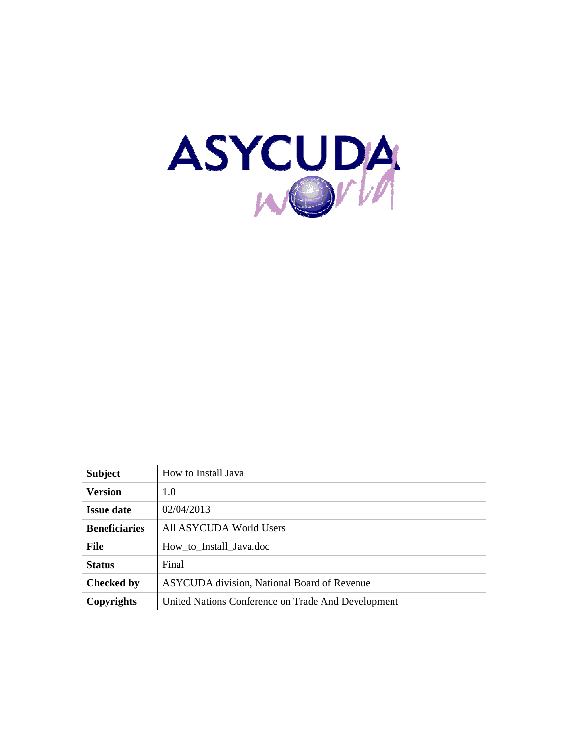

| <b>Subject</b>       | How to Install Java                                |
|----------------------|----------------------------------------------------|
| <b>Version</b>       | 1.0                                                |
| <b>Issue date</b>    | 02/04/2013                                         |
| <b>Beneficiaries</b> | All ASYCUDA World Users                            |
| <b>File</b>          | How to Install Java.doc                            |
| <b>Status</b>        | Final                                              |
| <b>Checked by</b>    | <b>ASYCUDA</b> division, National Board of Revenue |
| Copyrights           | United Nations Conference on Trade And Development |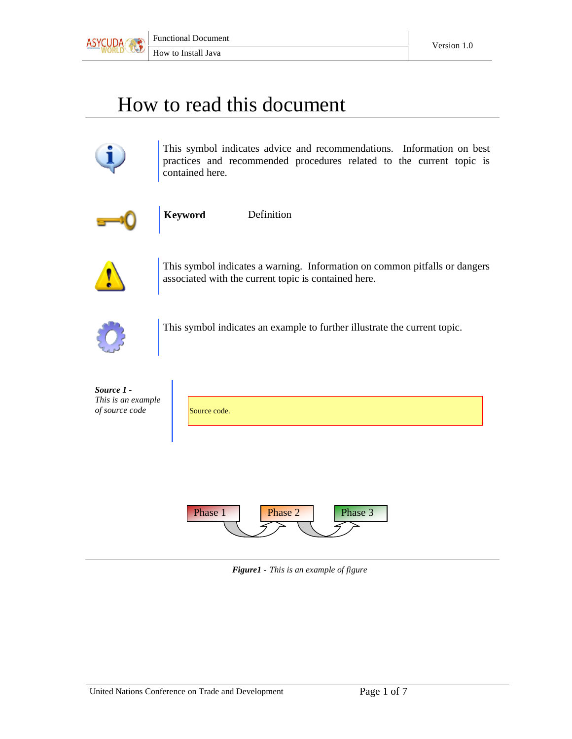

## How to read this document



This symbol indicates advice and recommendations. Information on best practices and recommended procedures related to the current topic is contained here.



**Keyword** Definition



This symbol indicates a warning. Information on common pitfalls or dangers associated with the current topic is contained here.



This symbol indicates an example to further illustrate the current topic.

| Source 1 -<br>This is an example<br>of source code | Source code.                  |
|----------------------------------------------------|-------------------------------|
|                                                    |                               |
|                                                    | Phase 2<br>Phase 3<br>Phase 1 |

*Figure1 - This is an example of figure*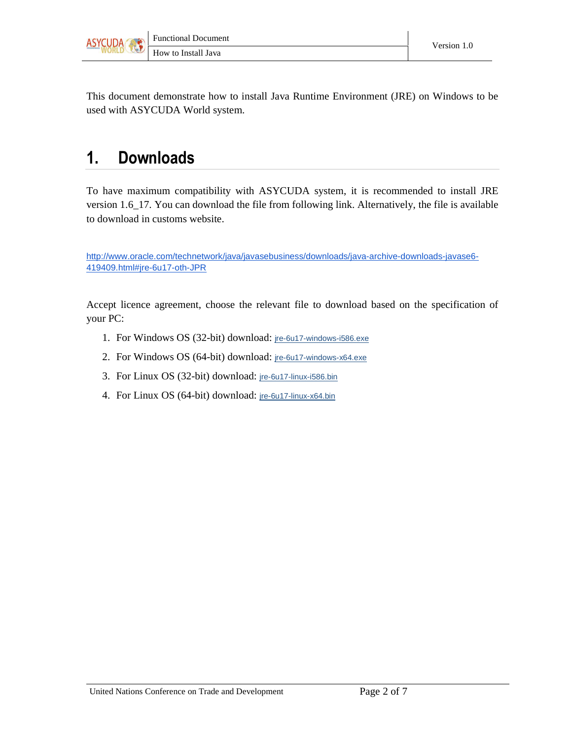

This document demonstrate how to install Java Runtime Environment (JRE) on Windows to be used with ASYCUDA World system.

## 1. Downloads

To have maximum compatibility with ASYCUDA system, it is recommended to install JRE version 1.6\_17. You can download the file from following link. Alternatively, the file is available to download in customs website.

http://www.oracle.com/technetwork/java/javasebusiness/downloads/java-archive-downloads-javase6- 419409.html#jre-6u17-oth-JPR

Accept licence agreement, choose the relevant file to download based on the specification of your PC:

- 1. For Windows OS (32-bit) download: jre-6u17-windows-i586.exe
- 2. For Windows OS (64-bit) download: jre-6u17-windows-x64.exe
- 3. For Linux OS (32-bit) download: jre-6u17-linux-i586.bin
- 4. For Linux OS (64-bit) download: jre-6u17-linux-x64.bin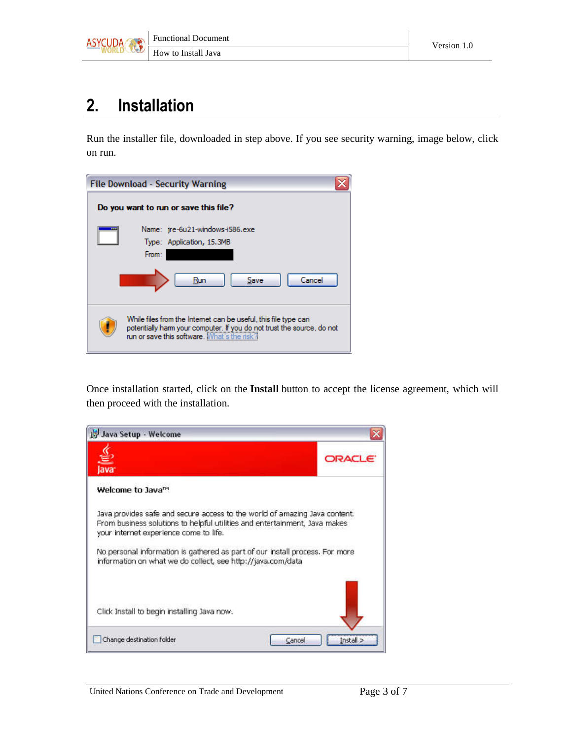

## 2. Installation

Run the installer file, downloaded in step above. If you see security warning, image below, click on run.

| <b>File Download - Security Warning</b> |                                                                                                                                                                                          |  |  |  |  |  |
|-----------------------------------------|------------------------------------------------------------------------------------------------------------------------------------------------------------------------------------------|--|--|--|--|--|
| Do you want to run or save this file?   |                                                                                                                                                                                          |  |  |  |  |  |
|                                         | Name: jre-6u21-windows-i586.exe<br>Type: Application, 15.3MB<br>From:<br>Cancel<br>Save<br>Run                                                                                           |  |  |  |  |  |
|                                         | While files from the Internet can be useful, this file type can<br>potentially harm your computer. If you do not trust the source, do not<br>run or save this software. What's the risk? |  |  |  |  |  |

Once installation started, click on the **Install** button to accept the license agreement, which will then proceed with the installation.

| Java Setup - Welcome                                                                                                                                                                               |                     |
|----------------------------------------------------------------------------------------------------------------------------------------------------------------------------------------------------|---------------------|
| ≝<br>lava                                                                                                                                                                                          | ORAC                |
| Welcome to Java <sup>m</sup>                                                                                                                                                                       |                     |
| Java provides safe and secure access to the world of amazing Java content.<br>From business solutions to helpful utilities and entertainment, Java makes<br>your internet experience come to life. |                     |
| No personal information is gathered as part of our install process. For more<br>information on what we do collect, see http://java.com/data                                                        |                     |
|                                                                                                                                                                                                    |                     |
| Click Install to begin installing Java now.                                                                                                                                                        |                     |
| Change destination folder                                                                                                                                                                          | Install ><br>Cancel |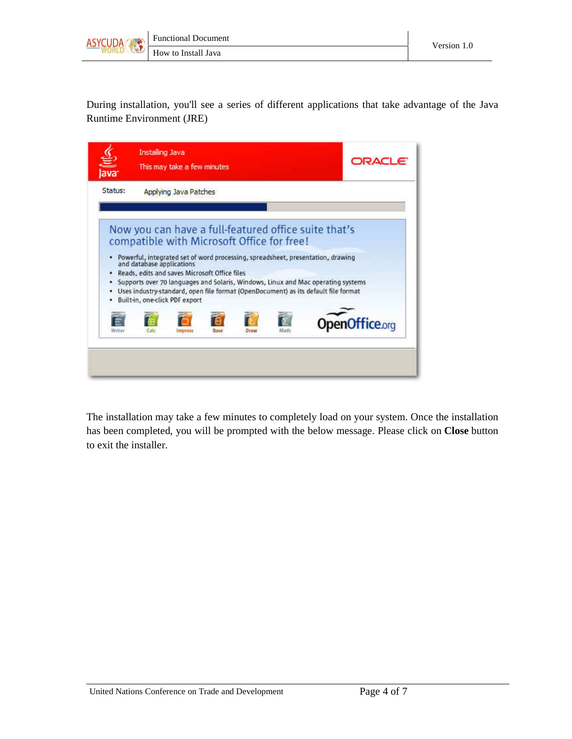



During installation, you'll see a series of different applications that take advantage of the Java Runtime Environment (JRE)

| Status: |                           | Applying Java Patches                                                           |      |             |      |                                                                                                                                                                        |                       |
|---------|---------------------------|---------------------------------------------------------------------------------|------|-------------|------|------------------------------------------------------------------------------------------------------------------------------------------------------------------------|-----------------------|
|         |                           | compatible with Microsoft Office for free!                                      |      |             |      | Now you can have a full-featured office suite that's<br>Powerful, integrated set of word processing, spreadsheet, presentation, drawing                                |                       |
|         | and database applications | Reads, edits and saves Microsoft Office files<br>Built-in, one-click PDF export |      |             |      | Supports over 70 languages and Solaris, Windows, Linux and Mac operating systems<br>Uses industry-standard, open file format (OpenDocument) as its default file format |                       |
| Nriter  |                           | mpress                                                                          | Base | <b>Draw</b> | Mati |                                                                                                                                                                        | <b>OpenOffice.org</b> |

The installation may take a few minutes to completely load on your system. Once the installation has been completed, you will be prompted with the below message. Please click on **Close** button to exit the installer.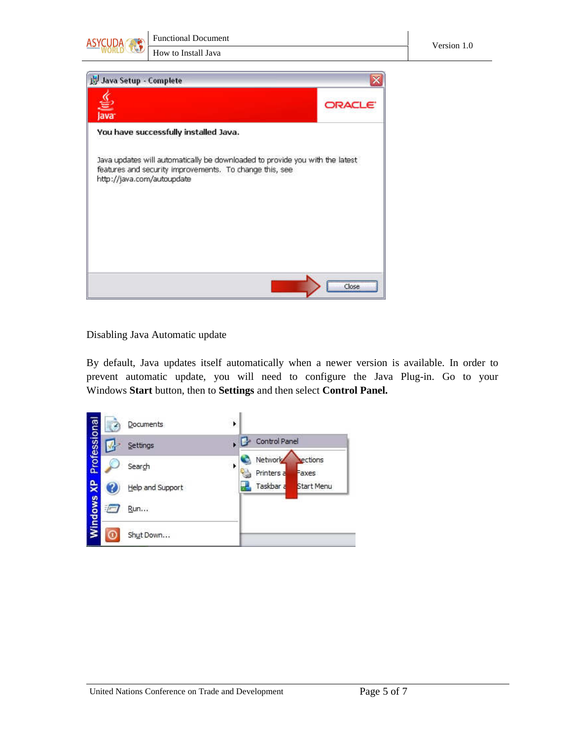



## Disabling Java Automatic update

By default, Java updates itself automatically when a newer version is available. In order to prevent automatic update, you will need to configure the Java Plug-in. Go to your Windows **Start** button, then to **Settings** and then select **Control Panel.**